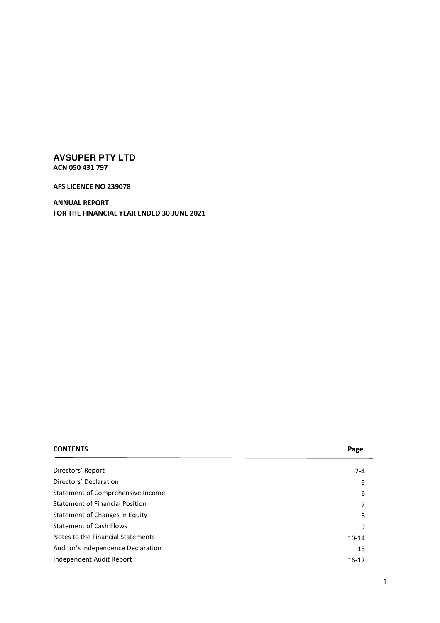**AFS LICENCE NO 239078** 

**ANNUAL REPORT FOR THE FINANCIAL YEAR ENDED 30 JUNE 2021** 

| <b>CONTENTS</b>                        | Page      |
|----------------------------------------|-----------|
|                                        |           |
| Directors' Report                      | $2 - 4$   |
| Directors' Declaration                 | 5         |
| Statement of Comprehensive Income      | 6         |
| <b>Statement of Financial Position</b> | 7         |
| Statement of Changes in Equity         | 8         |
| <b>Statement of Cash Flows</b>         | 9         |
| Notes to the Financial Statements      | $10 - 14$ |
| Auditor's independence Declaration     | 15        |
| Independent Audit Report               | $16-17$   |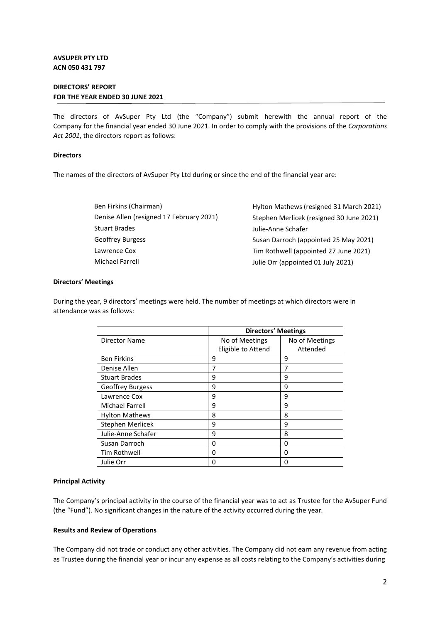## **DIRECTORS' REPORT FOR THE YEAR ENDED 30 JUNE 2021**

The directors of AvSuper Pty Ltd (the "Company") submit herewith the annual report of the Company for the financial year ended 30 June 2021. In order to comply with the provisions of the *Corporations Act 2001*, the directors report as follows:

#### **Directors**

The names of the directors of AvSuper Pty Ltd during or since the end of the financial year are:

| Hylton Mathews (resigned 31 March 2021)  |
|------------------------------------------|
| Stephen Merlicek (resigned 30 June 2021) |
| Julie-Anne Schafer                       |
| Susan Darroch (appointed 25 May 2021)    |
| Tim Rothwell (appointed 27 June 2021)    |
| Julie Orr (appointed 01 July 2021)       |
|                                          |

#### **Directors' Meetings**

During the year, 9 directors' meetings were held. The number of meetings at which directors were in attendance was as follows:

|                         |                    | <b>Directors' Meetings</b> |  |
|-------------------------|--------------------|----------------------------|--|
| <b>Director Name</b>    | No of Meetings     | No of Meetings             |  |
|                         | Eligible to Attend | Attended                   |  |
| <b>Ben Firkins</b>      | 9                  | 9                          |  |
| Denise Allen            | 7                  | 7                          |  |
| <b>Stuart Brades</b>    | 9                  | 9                          |  |
| <b>Geoffrey Burgess</b> | 9                  | 9                          |  |
| Lawrence Cox            | 9                  | 9                          |  |
| Michael Farrell         | 9                  | 9                          |  |
| <b>Hylton Mathews</b>   | 8                  | 8                          |  |
| Stephen Merlicek        | 9                  | 9                          |  |
| Julie-Anne Schafer      | 9                  | 8                          |  |
| Susan Darroch           | 0                  | 0                          |  |
| Tim Rothwell            | 0                  | Ω                          |  |
| Julie Orr               | 0                  | 0                          |  |

## **Principal Activity**

The Company's principal activity in the course of the financial year was to act as Trustee for the AvSuper Fund (the "Fund"). No significant changes in the nature of the activity occurred during the year.

## **Results and Review of Operations**

The Company did not trade or conduct any other activities. The Company did not earn any revenue from acting as Trustee during the financial year or incur any expense as all costs relating to the Company's activities during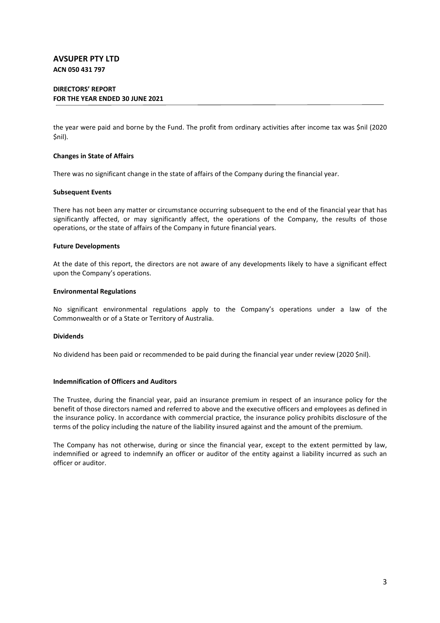## **DIRECTORS' REPORT FOR THE YEAR ENDED 30 JUNE 2021**

the year were paid and borne by the Fund. The profit from ordinary activities after income tax was \$nil (2020 \$nil).

#### **Changes in State of Affairs**

There was no significant change in the state of affairs of the Company during the financial year.

#### **Subsequent Events**

There has not been any matter or circumstance occurring subsequent to the end of the financial year that has significantly affected, or may significantly affect, the operations of the Company, the results of those operations, or the state of affairs of the Company in future financial years.

#### **Future Developments**

At the date of this report, the directors are not aware of any developments likely to have a significant effect upon the Company's operations.

#### **Environmental Regulations**

No significant environmental regulations apply to the Company's operations under a law of the Commonwealth or of a State or Territory of Australia.

## **Dividends**

No dividend has been paid or recommended to be paid during the financial year under review (2020 \$nil).

## **Indemnification of Officers and Auditors**

The Trustee, during the financial year, paid an insurance premium in respect of an insurance policy for the benefit of those directors named and referred to above and the executive officers and employees as defined in the insurance policy. In accordance with commercial practice, the insurance policy prohibits disclosure of the terms of the policy including the nature of the liability insured against and the amount of the premium.

The Company has not otherwise, during or since the financial year, except to the extent permitted by law, indemnified or agreed to indemnify an officer or auditor of the entity against a liability incurred as such an officer or auditor.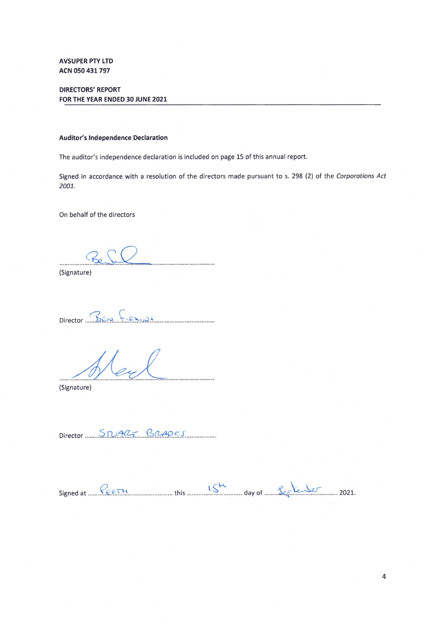**DIRECTORS' REPORT** FOR THE YEAR ENDED 30 JUNE 2021

#### **Auditor's Independence Declaration**

The auditor's independence declaration is included on page 15 of this annual report.

Signed in accordance with a resolution of the directors made pursuant to s. 298 (2) of the Corporations Act 2001.

On behalf of the directors

...........

(Signature)

Director BEN FRX194

(Signature)

Director STUAR-BRADES

Signed at  $\frac{P_{CCTM}}{P_{CCTM}}$  this  $\frac{15^{M}}{M}$  day of  $\frac{P_{CCTM}}{P_{CCTM}}$  2021.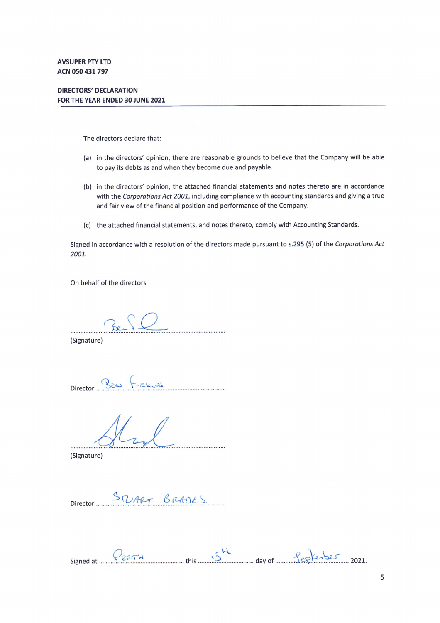# **DIRECTORS' DECLARATION** FOR THE YEAR ENDED 30 JUNE 2021

The directors declare that:

- (a) in the directors' opinion, there are reasonable grounds to believe that the Company will be able to pay its debts as and when they become due and payable.
- (b) in the directors' opinion, the attached financial statements and notes thereto are in accordance with the Corporations Act 2001, including compliance with accounting standards and giving a true and fair view of the financial position and performance of the Company.
- (c) the attached financial statements, and notes thereto, comply with Accounting Standards.

Signed in accordance with a resolution of the directors made pursuant to s.295 (5) of the Corporations Act 2001.

On behalf of the directors

(Signature)

Director Ban F-RKUS

\_\_\_\_\_\_\_\_\_\_\_\_\_\_\_\_\_\_\_\_\_\_\_\_\_\_\_\_\_\_\_\_\_

(Signature)

STUART BRADES Director .....

Signed at Peern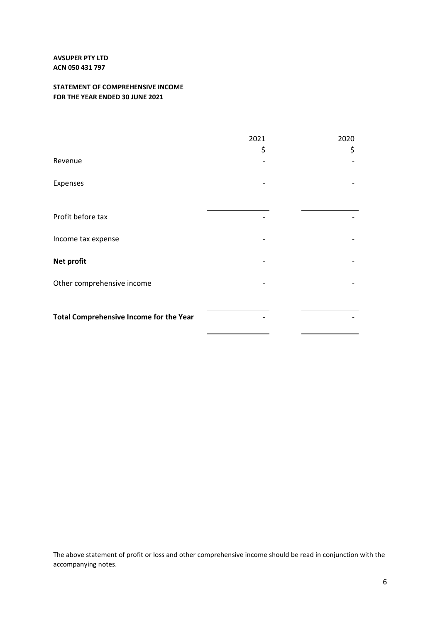# **STATEMENT OF COMPREHENSIVE INCOME FOR THE YEAR ENDED 30 JUNE 2021**

|                                         | 2021<br>\$ | 2020<br>\$ |
|-----------------------------------------|------------|------------|
| Revenue                                 |            |            |
| Expenses                                |            |            |
| Profit before tax                       |            |            |
| Income tax expense                      |            |            |
| <b>Net profit</b>                       |            |            |
| Other comprehensive income              |            |            |
| Total Comprehensive Income for the Year |            |            |

The above statement of profit or loss and other comprehensive income should be read in conjunction with the accompanying notes.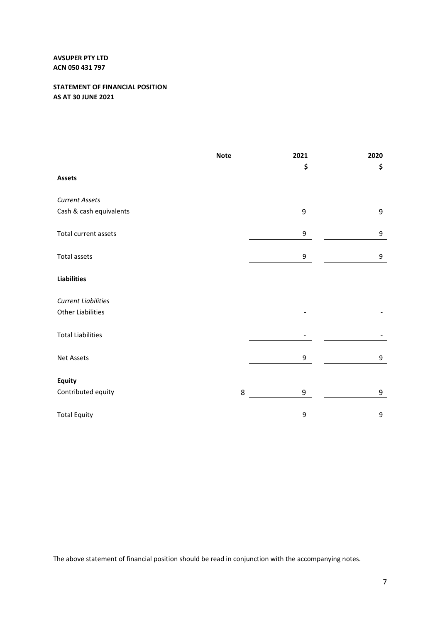# **STATEMENT OF FINANCIAL POSITION AS AT 30 JUNE 2021**

|                            | <b>Note</b> | 2021<br>\$       | 2020<br>\$ |
|----------------------------|-------------|------------------|------------|
| <b>Assets</b>              |             |                  |            |
| <b>Current Assets</b>      |             |                  |            |
| Cash & cash equivalents    |             | 9                | 9          |
| Total current assets       |             | 9                | 9          |
| <b>Total assets</b>        |             | $\boldsymbol{9}$ | 9          |
| <b>Liabilities</b>         |             |                  |            |
| <b>Current Liabilities</b> |             |                  |            |
| <b>Other Liabilities</b>   |             |                  |            |
| <b>Total Liabilities</b>   |             |                  |            |
| <b>Net Assets</b>          |             | $\boldsymbol{9}$ | 9          |
| Equity                     |             |                  |            |
| Contributed equity         | 8           | 9                | 9          |
| <b>Total Equity</b>        |             | 9                | 9          |

The above statement of financial position should be read in conjunction with the accompanying notes.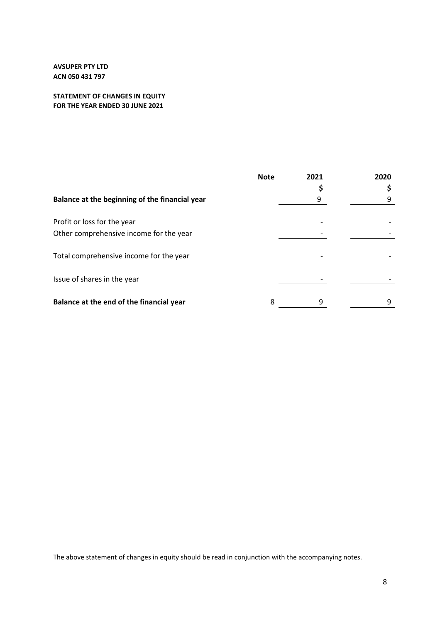# **STATEMENT OF CHANGES IN EQUITY FOR THE YEAR ENDED 30 JUNE 2021**

|                                                | <b>Note</b> | 2021 | 2020 |
|------------------------------------------------|-------------|------|------|
| Balance at the beginning of the financial year |             |      |      |
| Profit or loss for the year                    |             |      |      |
| Other comprehensive income for the year        |             |      |      |
| Total comprehensive income for the year        |             |      |      |
| Issue of shares in the year                    |             |      |      |
| Balance at the end of the financial year       | 8           | q    |      |

The above statement of changes in equity should be read in conjunction with the accompanying notes.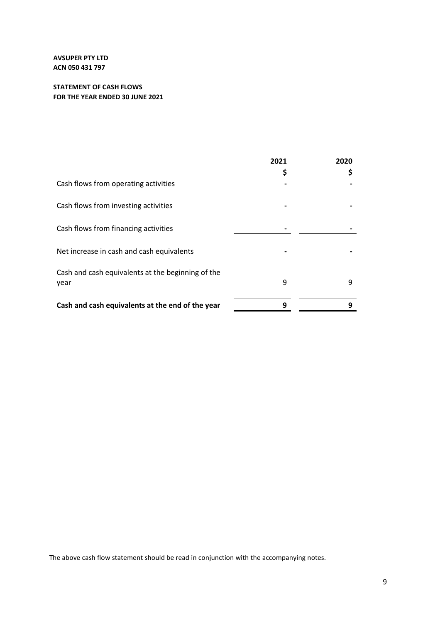# **STATEMENT OF CASH FLOWS FOR THE YEAR ENDED 30 JUNE 2021**

|                                                           | 2021 | 2020 |
|-----------------------------------------------------------|------|------|
| Cash flows from operating activities                      | \$   |      |
| Cash flows from investing activities                      |      |      |
| Cash flows from financing activities                      |      |      |
| Net increase in cash and cash equivalents                 |      |      |
| Cash and cash equivalents at the beginning of the<br>year | 9    | 9    |
| Cash and cash equivalents at the end of the year          | 9    | 9    |

The above cash flow statement should be read in conjunction with the accompanying notes.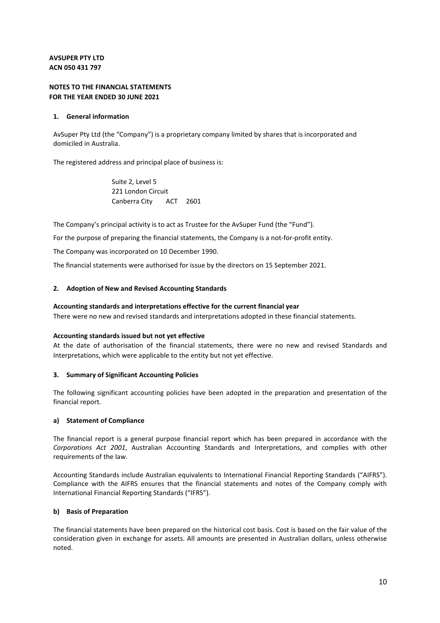# **NOTES TO THE FINANCIAL STATEMENTS FOR THE YEAR ENDED 30 JUNE 2021**

## **1. General information**

AvSuper Pty Ltd (the "Company") is a proprietary company limited by shares that is incorporated and domiciled in Australia.

The registered address and principal place of business is:

 Suite 2, Level 5 221 London Circuit Canberra City ACT 2601

The Company's principal activity is to act as Trustee for the AvSuper Fund (the "Fund").

For the purpose of preparing the financial statements, the Company is a not-for-profit entity.

The Company was incorporated on 10 December 1990.

The financial statements were authorised for issue by the directors on 15 September 2021.

## **2. Adoption of New and Revised Accounting Standards**

## **Accounting standards and interpretations effective for the current financial year**

There were no new and revised standards and interpretations adopted in these financial statements.

## **Accounting standards issued but not yet effective**

At the date of authorisation of the financial statements, there were no new and revised Standards and Interpretations, which were applicable to the entity but not yet effective.

## **3. Summary of Significant Accounting Policies**

The following significant accounting policies have been adopted in the preparation and presentation of the financial report.

## **a) Statement of Compliance**

The financial report is a general purpose financial report which has been prepared in accordance with the *Corporations Act 2001*, Australian Accounting Standards and Interpretations, and complies with other requirements of the law.

Accounting Standards include Australian equivalents to International Financial Reporting Standards ("AIFRS"). Compliance with the AIFRS ensures that the financial statements and notes of the Company comply with International Financial Reporting Standards ("IFRS").

## **b) Basis of Preparation**

The financial statements have been prepared on the historical cost basis. Cost is based on the fair value of the consideration given in exchange for assets. All amounts are presented in Australian dollars, unless otherwise noted.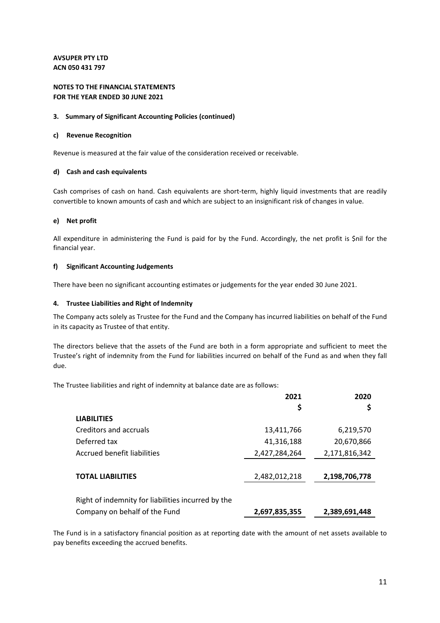# **NOTES TO THE FINANCIAL STATEMENTS FOR THE YEAR ENDED 30 JUNE 2021**

## **3. Summary of Significant Accounting Policies (continued)**

#### **c) Revenue Recognition**

Revenue is measured at the fair value of the consideration received or receivable.

#### **d) Cash and cash equivalents**

Cash comprises of cash on hand. Cash equivalents are short-term, highly liquid investments that are readily convertible to known amounts of cash and which are subject to an insignificant risk of changes in value.

## **e) Net profit**

All expenditure in administering the Fund is paid for by the Fund. Accordingly, the net profit is \$nil for the financial year.

#### **f) Significant Accounting Judgements**

There have been no significant accounting estimates or judgements for the year ended 30 June 2021.

#### **4. Trustee Liabilities and Right of Indemnity**

The Company acts solely as Trustee for the Fund and the Company has incurred liabilities on behalf of the Fund in its capacity as Trustee of that entity.

The directors believe that the assets of the Fund are both in a form appropriate and sufficient to meet the Trustee's right of indemnity from the Fund for liabilities incurred on behalf of the Fund as and when they fall due.

The Trustee liabilities and right of indemnity at balance date are as follows:

|                                                    | 2021          | 2020          |
|----------------------------------------------------|---------------|---------------|
|                                                    | \$            |               |
| <b>LIABILITIES</b>                                 |               |               |
| Creditors and accruals                             | 13,411,766    | 6,219,570     |
| Deferred tax                                       | 41,316,188    | 20,670,866    |
| Accrued benefit liabilities                        | 2,427,284,264 | 2,171,816,342 |
|                                                    |               |               |
| <b>TOTAL LIABILITIES</b>                           | 2,482,012,218 | 2,198,706,778 |
|                                                    |               |               |
| Right of indemnity for liabilities incurred by the |               |               |
| Company on behalf of the Fund                      | 2,697,835,355 | 2,389,691,448 |

The Fund is in a satisfactory financial position as at reporting date with the amount of net assets available to pay benefits exceeding the accrued benefits.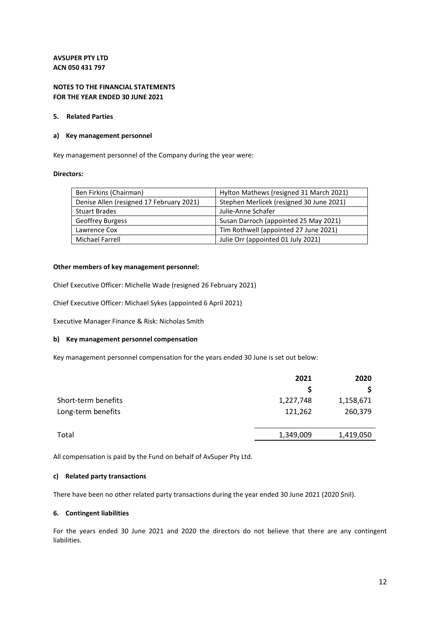# **NOTES TO THE FINANCIAL STATEMENTS FOR THE YEAR ENDED 30 JUNE 2021**

#### **5. Related Parties**

#### **a) Key management personnel**

Key management personnel of the Company during the year were:

#### **Directors:**

| Ben Firkins (Chairman)                   | Hylton Mathews (resigned 31 March 2021)  |
|------------------------------------------|------------------------------------------|
| Denise Allen (resigned 17 February 2021) | Stephen Merlicek (resigned 30 June 2021) |
| <b>Stuart Brades</b>                     | Julie-Anne Schafer                       |
| <b>Geoffrey Burgess</b>                  | Susan Darroch (appointed 25 May 2021)    |
| Lawrence Cox                             | Tim Rothwell (appointed 27 June 2021)    |
| Michael Farrell                          | Julie Orr (appointed 01 July 2021)       |

#### **Other members of key management personnel:**

Chief Executive Officer: Michelle Wade (resigned 26 February 2021)

Chief Executive Officer: Michael Sykes (appointed 6 April 2021)

Executive Manager Finance & Risk: Nicholas Smith

## **b) Key management personnel compensation**

Key management personnel compensation for the years ended 30 June is set out below:

|                     | 2021      | 2020      |
|---------------------|-----------|-----------|
|                     |           |           |
| Short-term benefits | 1,227,748 | 1,158,671 |
| Long-term benefits  | 121,262   | 260,379   |
| Total               | 1,349,009 | 1,419,050 |

All compensation is paid by the Fund on behalf of AvSuper Pty Ltd.

#### **c) Related party transactions**

There have been no other related party transactions during the year ended 30 June 2021 (2020 \$nil).

#### **6. Contingent liabilities**

For the years ended 30 June 2021 and 2020 the directors do not believe that there are any contingent liabilities.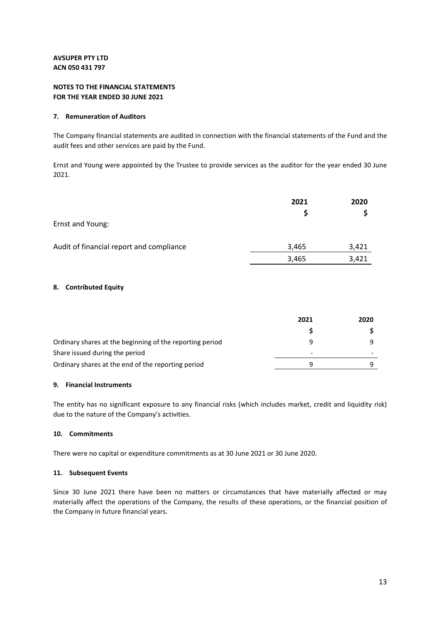# **NOTES TO THE FINANCIAL STATEMENTS FOR THE YEAR ENDED 30 JUNE 2021**

## **7. Remuneration of Auditors**

The Company financial statements are audited in connection with the financial statements of the Fund and the audit fees and other services are paid by the Fund.

Ernst and Young were appointed by the Trustee to provide services as the auditor for the year ended 30 June 2021.

|                                          | 2021  | 2020  |
|------------------------------------------|-------|-------|
| Ernst and Young:                         |       |       |
| Audit of financial report and compliance | 3,465 | 3,421 |
|                                          | 3,465 | 3,421 |

## **8. Contributed Equity**

|                                                          | 2021 | 2020 |
|----------------------------------------------------------|------|------|
|                                                          |      |      |
| Ordinary shares at the beginning of the reporting period |      |      |
| Share issued during the period                           | -    |      |
| Ordinary shares at the end of the reporting period       |      |      |

# **9. Financial Instruments**

The entity has no significant exposure to any financial risks (which includes market, credit and liquidity risk) due to the nature of the Company's activities.

## **10. Commitments**

There were no capital or expenditure commitments as at 30 June 2021 or 30 June 2020.

## **11. Subsequent Events**

Since 30 June 2021 there have been no matters or circumstances that have materially affected or may materially affect the operations of the Company, the results of these operations, or the financial position of the Company in future financial years.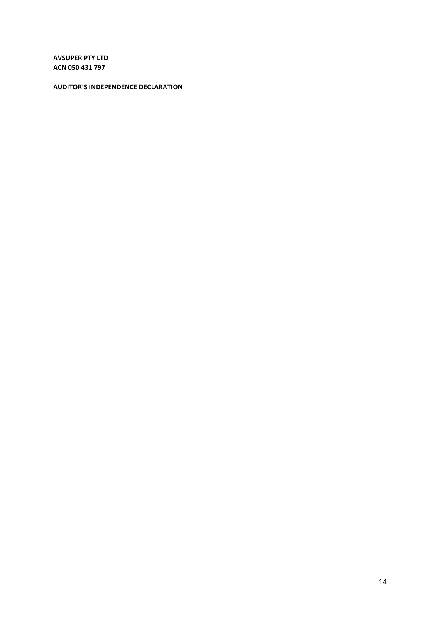**AUDITOR'S INDEPENDENCE DECLARATION**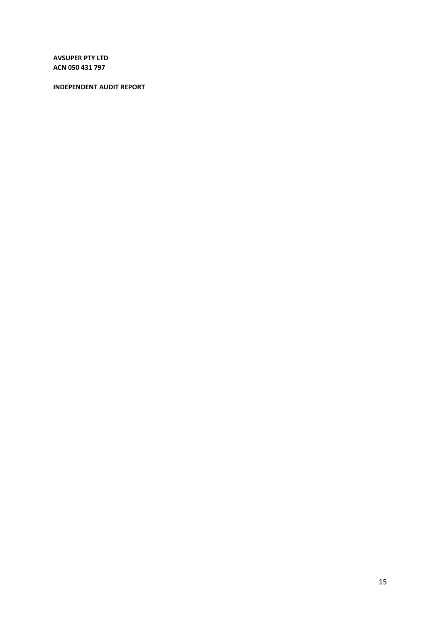# **INDEPENDENT AUDIT REPORT**